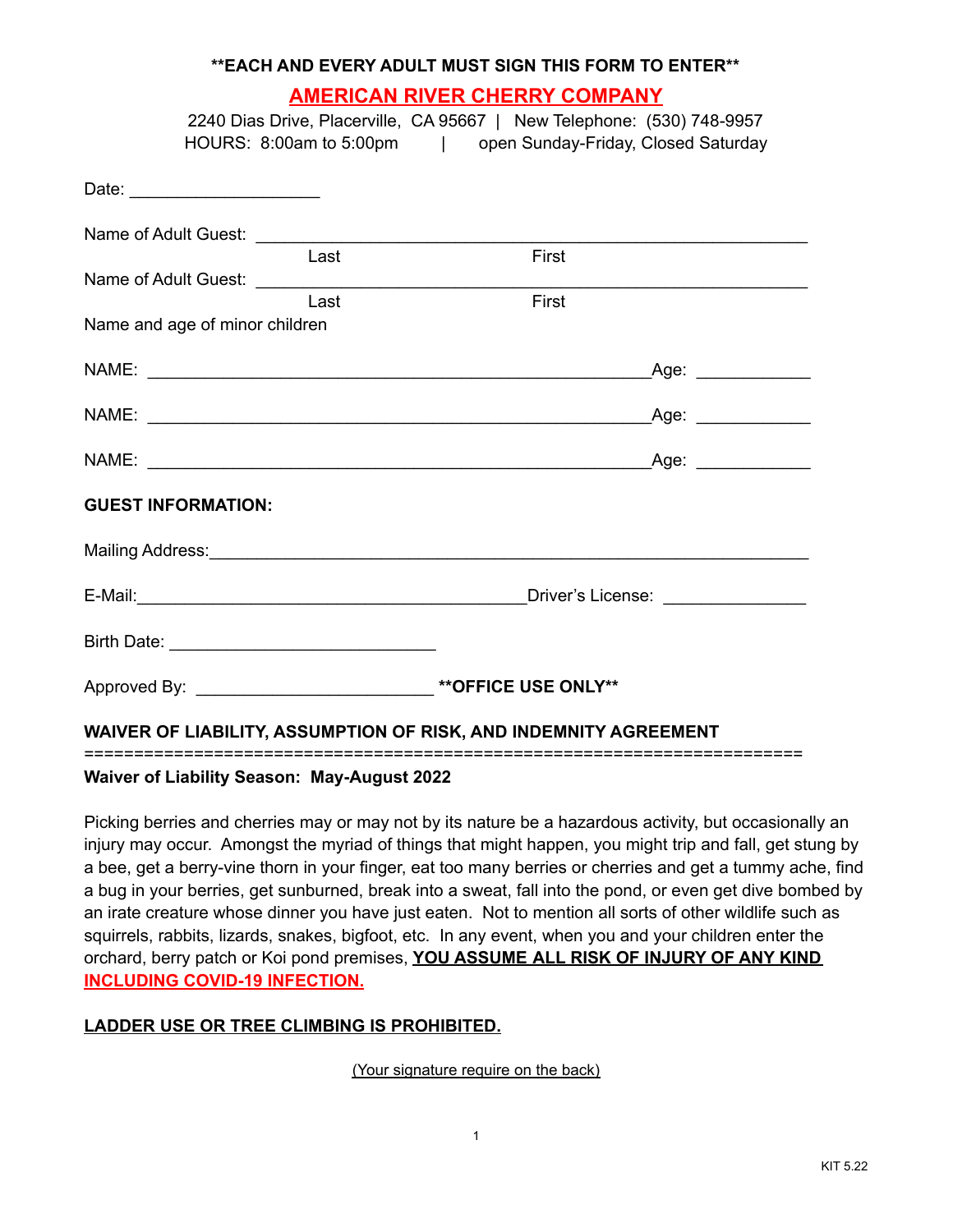### **\*\*EACH AND EVERY ADULT MUST SIGN THIS FORM TO ENTER\*\***

# **AMERICAN RIVER CHERRY COMPANY**

2240 Dias Drive, Placerville, CA 95667 | New Telephone: (530) 748-9957 HOURS: 8:00am to 5:00pm | open Sunday-Friday, Closed Saturday

| Date: ________________________                                     |               |  |
|--------------------------------------------------------------------|---------------|--|
|                                                                    |               |  |
| Last                                                               | First         |  |
| Last                                                               | First         |  |
| Name and age of minor children                                     |               |  |
|                                                                    | $\text{Age:}$ |  |
|                                                                    |               |  |
|                                                                    |               |  |
| <b>GUEST INFORMATION:</b>                                          |               |  |
|                                                                    |               |  |
|                                                                    |               |  |
|                                                                    |               |  |
| Approved By: __________________________________**OFFICE USE ONLY** |               |  |
| WAIVER OF LIABILITY, ASSUMPTION OF RISK, AND INDEMNITY AGREEMENT   |               |  |

## **Waiver of Liability Season: May-August 2022**

Picking berries and cherries may or may not by its nature be a hazardous activity, but occasionally an injury may occur. Amongst the myriad of things that might happen, you might trip and fall, get stung by a bee, get a berry-vine thorn in your finger, eat too many berries or cherries and get a tummy ache, find a bug in your berries, get sunburned, break into a sweat, fall into the pond, or even get dive bombed by an irate creature whose dinner you have just eaten. Not to mention all sorts of other wildlife such as squirrels, rabbits, lizards, snakes, bigfoot, etc. In any event, when you and your children enter the orchard, berry patch or Koi pond premises, **YOU ASSUME ALL RISK OF INJURY OF ANY KIND INCLUDING COVID-19 INFECTION.**

## **LADDER USE OR TREE CLIMBING IS PROHIBITED.**

(Your signature require on the back)